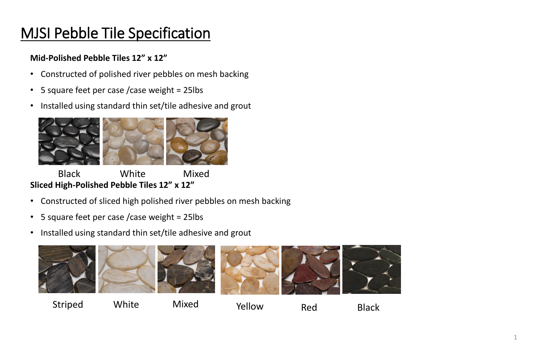# MJSI Pebble Tile Specification

#### **Mid-Polished Pebble Tiles 12" x 12"**

- Constructed of polished river pebbles on mesh backing
- 5 square feet per case /case weight = 25lbs
- Installed using standard thin set/tile adhesive and grout



Black White Mixed **Sliced High-Polished Pebble Tiles 12" x 12"**

- Constructed of sliced high polished river pebbles on mesh backing
- 5 square feet per case /case weight = 25lbs
- Installed using standard thin set/tile adhesive and grout



### Striped White Mixed Yellow Red Black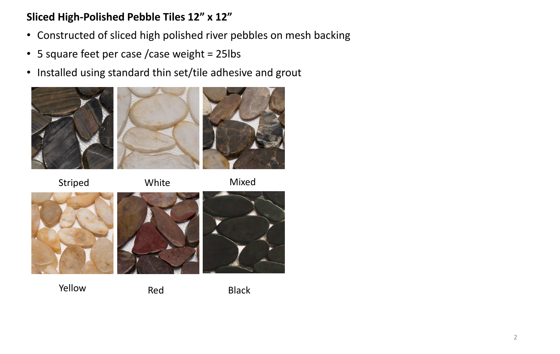### **Sliced High-Polished Pebble Tiles 12" x 12"**

- Constructed of sliced high polished river pebbles on mesh backing
- 5 square feet per case /case weight = 25lbs
- Installed using standard thin set/tile adhesive and grout



Striped White Mixed





Yellow Red Black

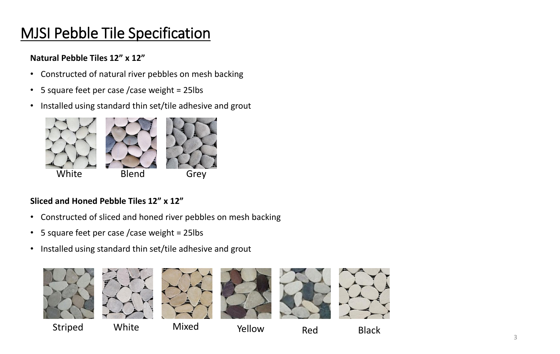# MJSI Pebble Tile Specification

#### **Natural Pebble Tiles 12" x 12"**

- Constructed of natural river pebbles on mesh backing
- 5 square feet per case /case weight = 25lbs
- Installed using standard thin set/tile adhesive and grout



#### **Sliced and Honed Pebble Tiles 12" x 12"**

- Constructed of sliced and honed river pebbles on mesh backing
- 5 square feet per case /case weight = 25lbs
- Installed using standard thin set/tile adhesive and grout















Striped White Mixed Yellow Red Black